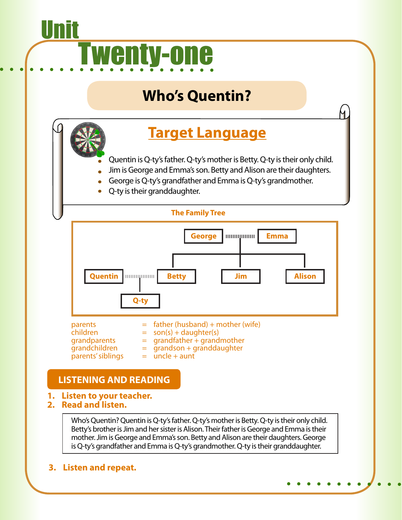# <u>Unit</u> Twenty-one

# **Who's Quentin?**

# **Target Language**

- Quentin is Q-ty's father. Q-ty's mother is Betty. Q-ty is their only child.
- Jim is George and Emma's son. Betty and Alison are their daughters.
- George is Q-ty's grandfather and Emma is Q-ty's grandmother.
- Q-ty is their granddaughter.



parents  $=$  father (husband) + mother (wife)<br>children  $=$  son(s) + daughter(s) children  $=$  son(s) + daughter(s)<br>
grandparents  $=$  grandfather + grand  $=$  grandfather + grandmother  $\frac{1}{2}$  grandson + granddaughter  $parents'sibling = uncle + aunt$ 

# **LISTENING AND READING**

- **1. Listen to your teacher.**
- **2. Read and listen.**

Who's Quentin? Quentin is Q-ty's father. Q-ty's mother is Betty. Q-ty is their only child. Betty's brother is Jim and her sister is Alison. Their father is George and Emma is their mother. Jim is George and Emma's son. Betty and Alison are their daughters. George is Q-ty's grandfather and Emma is Q-ty's grandmother. Q-ty is their granddaughter.

**3. Listen and repeat.**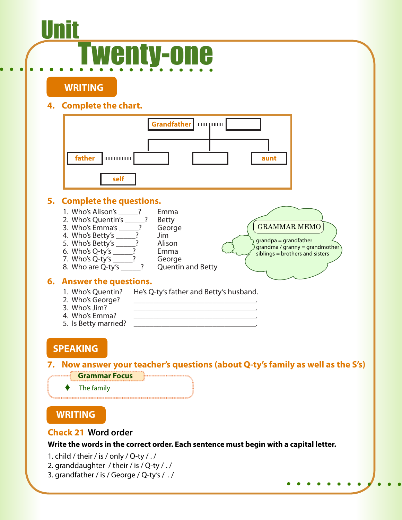# <u>Unit</u> Twenty-one

**WRITING**

## **4. Complete the chart.**



### **Check 21 Word order**

**Write the words in the correct order. Each sentence must begin with a capital letter.**

- 1. child / their / is / only / Q-ty / ./
- 2. granddaughter / their / is / Q-ty / . /
- 3. grandfather / is / George / Q-ty's / . /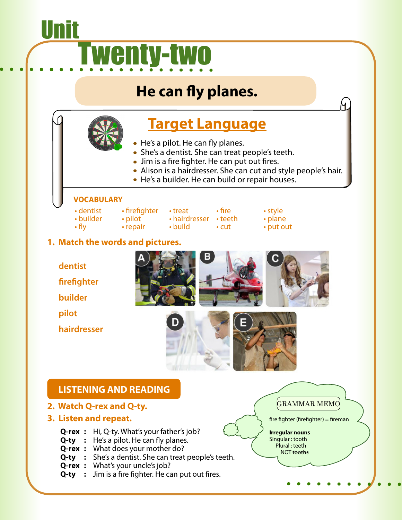# Unit Twenty-two

# **He can fly planes.**

# **Target Language**

- He's a pilot. He can fly planes.
- She's a dentist. She can treat people's teeth.
- Jim is a fire fighter. He can put out fires.
- Alison is a hairdresser. She can cut and style people's hair.
	- He's a builder. He can build or repair houses.

#### **VOCABULARY**

- dentist firefighter treat fire style<br>• builder pilot hairdresser teeth plane
	-
- builder pilot hairdresser teeth plane
	-
- 
- cut put out

4

## **1. Match the words and pictures.**

- **dentist**
- **firefighter**
- **builder**
- **pilot**
- **hairdresser**





## **LISTENING AND READING**

- **2. Watch Q-rex and Q-ty.**
- **3. Listen and repeat.**
	- **Q-rex :** Hi, Q-ty. What's your father's job?
	- **Q-ty** : He's a pilot. He can fly planes.
	- **Q-rex :** What does your mother do?
	- **Q-ty** : She's a dentist. She can treat people's teeth.
	- **Q-rex :** What's your uncle's job?
	- **Q-ty** : Jim is a fire fighter. He can put out fires.

GRAMMAR MEMO

fire fighter (firefighter) = fireman

**Irregular nouns** Singular : tooth Plural : teeth NOT tooths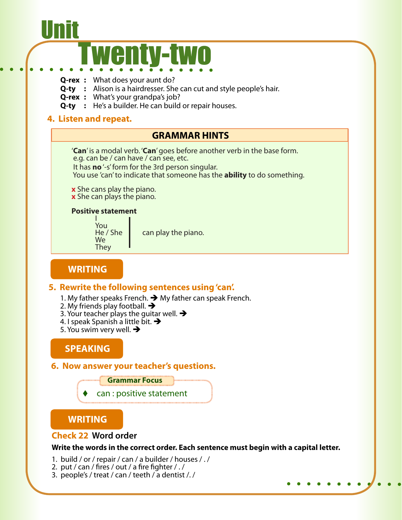# <u>Unit</u> Twenty-two

- **Q-rex :** What does your aunt do?
- **Q-ty** : Alison is a hairdresser. She can cut and style people's hair.
- **Q-rex :** What's your grandpa's job?
- **Q-ty** : He's a builder. He can build or repair houses.

#### **4. Listen and repeat.**

#### **GRAMMAR HINTS**

'**Can**' is a modal verb. '**Can**' goes before another verb in the base form. e.g. can be / can have / can see, etc.

 It has **no** '-s' form for the 3rd person singular. You use 'can' to indicate that someone has the **ability** to do something.

**x** She cans play the piano. **x** She can plays the piano.

#### **Positive statement**

I You We **They** 

He / She  $\parallel$  can play the piano.

### **WRITING**

#### **5. Rewrite the following sentences using 'can'.**

- 1. My father speaks French.  $\rightarrow$  My father can speak French.
- 2. My friends play football.  $\rightarrow$
- 3. Your teacher plays the guitar well.  $\rightarrow$
- 4. I speak Spanish a little bit.  $\rightarrow$
- 5. You swim very well.  $\rightarrow$

### **SPEAKING**

#### **6. Now answer your teacher's questions.**



can : positive statement

#### **WRITING**

#### **Check 22 Word order**

**Write the words in the correct order. Each sentence must begin with a capital letter.**

1. build / or / repair / can / a builder / houses / . /

- 2. put / can / fires / out / a fire fighter / . /
- 3. people's / treat / can / teeth / a dentist /. /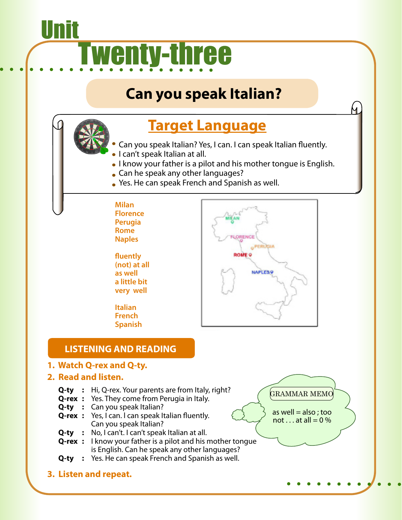# <u>Unit</u> **Twenty-three**

# **Can you speak Italian?**

# **Target Language**

- Can you speak Italian? Yes, I can. I can speak Italian fluently.
- **I can't speak Italian at all.**
- I know your father is a pilot and his mother tongue is English.
- **Can he speak any other languages?**
- Yes. He can speak French and Spanish as well.
- **Milan Florence Perugia Rome Naples**

**fluently (not) at all as well a little bit very well**

**Italian French Spanish**



## **LISTENING AND READING**

- **1. Watch Q-rex and Q-ty.**
- **2. Read and listen.**
	- **Q-ty** : Hi, Q-rex. Your parents are from Italy, right?
	- **Q-rex :** Yes. They come from Perugia in Italy.
	- **Q-ty** : Can you speak Italian?
	- **Q-rex** : Yes, I can. I can speak Italian fluently. Can you speak Italian?
	- **Q-ty :** No, I can't. I can't speak Italian at all.
	- **Q-rex :** I know your father is a pilot and his mother tongue is English. Can he speak any other languages?
	- **Q-ty** : Yes. He can speak French and Spanish as well.
- **3. Listen and repeat.**

GRAMMAR MEMO

4.

as well  $=$  also; too not  $\ldots$  at all = 0 %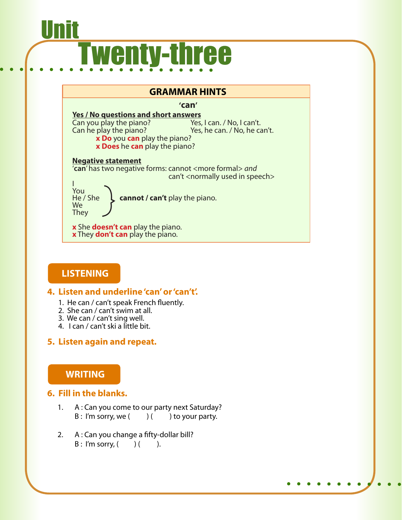# <u>Unit</u> **Twenty-three**

#### **GRAMMAR HINTS**

 **'can'**

**<u>Yes / No questions and short answers</u><br>Can you play the piano?** Yes, I can. / No, I can't. Can you play the piano?<br>Can he play the piano? Yes, he can. / No, he can't. **x Do** you **can** play the piano? **x Does** he **can** play the piano? **Negative statement** '**can**' has two negative forms: cannot <more formal> *and* can't <normally used in speech> I You<br>He / She , cannot / can't play the piano. We **They** 

**x** She **doesn't can** play the piano. **x** They **don't can** play the piano.

## **LISTENING**

#### **4. Listen and underline 'can' or 'can't'.**

- 1. He can / can't speak French fluently.
- 2. She can / can't swim at all.
- 3. We can / can't sing well.
- 4. I can / can't ski a little bit.

### **5. Listen again and repeat.**

## **WRITING**

### **6. Fill in the blanks.**

- 1. A : Can you come to our party next Saturday?  $B: I'm$  sorry, we  $($  )  $($  ) to your party.
- 2. A : Can you change a fifty-dollar bill?  $B: I'm$  sorry,  $($   $)$   $($   $)$ .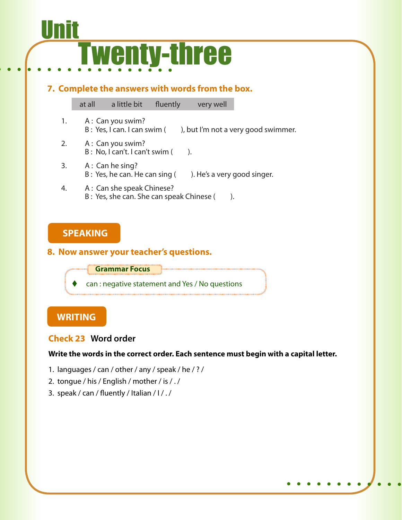# <u>Unit</u> Twenty-three

**7. Complete the answers with words from the box.**

at all a little bit fluently very well

- 1. A: Can you swim? B : Yes, I can. I can swim ( ), but I'm not a very good swimmer.
- 2. A: Can you swim?  $B: No, I can't. I can't swim ($
- 3. A : Can he sing? B : Yes, he can. He can sing (). He's a very good singer.
- 4. A: Can she speak Chinese? B : Yes, she can. She can speak Chinese ().

## **SPEAKING**

#### **8. Now answer your teacher's questions.**

**Grammar Focus**

can : negative statement and Yes / No questions

# **WRITING**

### **Check 23 Word order**

#### **Write the words in the correct order. Each sentence must begin with a capital letter.**

- 1. languages / can / other / any / speak / he / ? /
- 2. tongue / his / English / mother / is / . /
- 3. speak / can / fluently / Italian / I / . /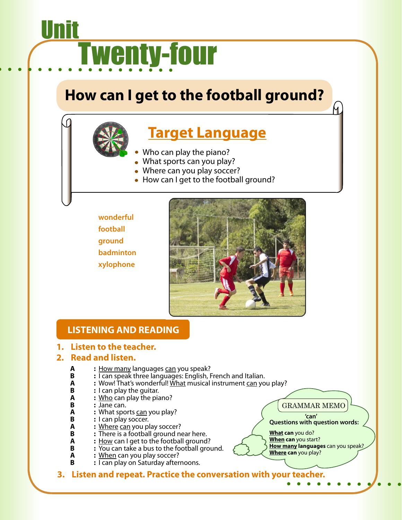# <u>Unit</u> Twenty-four

# **How can I get to the football ground?**

# **Target Language**

- Who can play the piano?
- What sports can you play?
- Where can you play soccer?
- How can I get to the football ground?
- **wonderful football ground badminton xylophone**



# **LISTENING AND READING**

#### **1. Listen to the teacher.**

#### **2. Read and listen.**

- **A :** <u>How many</u> languages can you speak?<br>**B :** I can speak three languages: English, I
- **B :** I can speak three languages: English, French and Italian.<br>**A :** Wow! That's wonderful! What musical instrument can vo
- **A :** Wow! That's wonderful! What musical instrument can you play?<br>**B :** I can play the quitar.
- **B** : I can play the guitar.<br>**A** : Who can play the pia
- **A :** <u>Who</u> can play the piano?<br>**B** : Jane can.
- **B** : Jane can.<br>**A** : What spo
- **A : What sports** <u>can</u> you play?<br>**B** : I can play soccer.
- **B** : I can play soccer.<br>**A** : Where can you pl
- **A : Where can you play soccer?**<br>**B :** There is a football ground ne
- **B :** There is a football ground near here.<br>**A :** How can I get to the football ground
- **A :** <u>How</u> can I get to the football ground?<br> **B**  $\cdot$  **:** You can take a bus to the football ground
- **B :**  $\overline{You}$  can take a bus to the football ground.<br>**A :** When can you play soccer?
- **A : When** can you play soccer?<br>**B :** I can play on Saturday after
	- **B :** I can play on Saturday afternoons.

**3. Listen and repeat. Practice the conversation with your teacher.**

GRAMMAR MEMO

 **'can' Questions with question words:**

**What can** you do? **When can** you start? **How many languages** can you speak? **Where can** you play?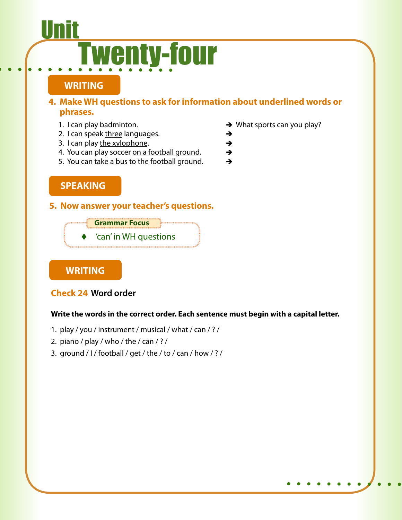# <u>Unit</u> Twenty-four

# **WRITING**

### **4. Make WH questions to ask for information about underlined words or phrases.**

- 
- 2. I can speak three languages.  $\rightarrow$
- 3. I can play the xylophone.  $\rightarrow$
- 4. You can play soccer on a football ground.  $\rightarrow$
- 5. You can take a bus to the football ground.  $\rightarrow$

## **SPEAKING**

#### **5. Now answer your teacher's questions.**



### **WRITING**

### **Check 24 Word order**

#### **Write the words in the correct order. Each sentence must begin with a capital letter.**

- 1. play / you / instrument / musical / what / can / ? /
- 2. piano / play / who / the / can / ? /
- 3. ground / I / football / get / the / to / can / how / ? /
- 1. I can play  $\mathsf{badminton}$ .  $\longrightarrow$  What sports can you play?
	-
	-
	-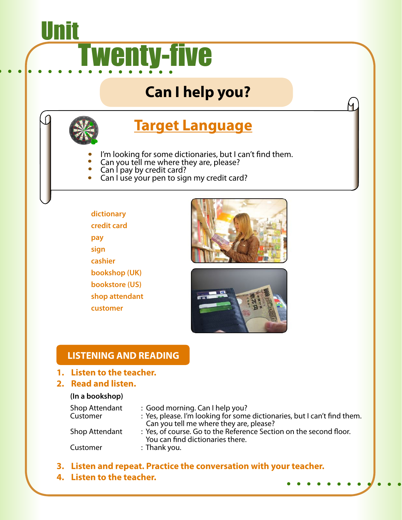# <u>Unit</u> **Twenty-five**

# **Can I help you?**



# **Target Language**

- I'm looking for some dictionaries, but I can't find them.
- Can you tell me where they are, please?
- Can I pay by credit card?
- Can I use your pen to sign my credit card?

## **dictionary credit card pay sign cashier bookshop (UK) bookstore (US) shop attendant customer**



Ч.



# **LISTENING AND READING**

#### **1. Listen to the teacher.**

#### **2. Read and listen.**

#### **(In a bookshop)**

| Shop Attendant<br>Customer | : Good morning. Can I help you?<br>: Yes, please. I'm looking for some dictionaries, but I can't find them.<br>Can you tell me where they are, please? |
|----------------------------|--------------------------------------------------------------------------------------------------------------------------------------------------------|
| Shop Attendant             | : Yes, of course. Go to the Reference Section on the second floor.<br>You can find dictionaries there.                                                 |
| Customer                   | : Thank you.                                                                                                                                           |

- **3. Listen and repeat. Practice the conversation with your teacher.**
- **4. Listen to the teacher.**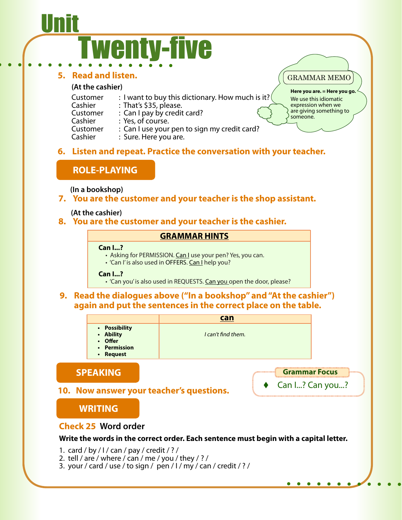# <u>Unit</u> wenty-five

#### **5. Read and listen.**

#### **(At the cashier)**

| Customer | : I want to buy this dictionary. How much is it? $($ |
|----------|------------------------------------------------------|
| Cashier  | : That's \$35, please.                               |
| Customer | : Can I pay by credit card?                          |
| Cashier  | : Yes, of course.                                    |
| Customer | : Can I use your pen to sign my credit card?         |
| Cashier  | : Sure. Here you are.                                |
|          |                                                      |

## **6. Listen and repeat. Practice the conversation with your teacher.**

## **ROLE-PLAYING**

**(In a bookshop)**

#### **7. You are the customer and your teacher is the shop assistant.**

#### **(At the cashier)**

#### **8. You are the customer and your teacher is the cashier.**

#### **GRAMMAR HINTS**

#### **Can I...?**

- Asking for PERMISSION. Can I use your pen? Yes, you can.
- 'Can I' is also used in OFFERS. Can I help you?

#### **Can I...?**

• 'Can you' is also used in REQUESTS. Can you open the door, please?

#### **9. Read the dialogues above ("In a bookshop" and "At the cashier") again and put the sentences in the correct place on the table.**

**find them.** 

**can**

| • Possibility<br>• Ability<br>• Offer | I can't |
|---------------------------------------|---------|

- **• Permission**
- **• Request**

# **SPEAKING**

### **10. Now answer your teacher's questions.**

# **WRITING**

### **Check 25 Word order**

#### **Write the words in the correct order. Each sentence must begin with a capital letter.**

1. card / by /  $1/$  can / pay / credit / ? /

- 2. tell / are / where / can / me / you / they / ? /
- 3. your / card / use / to sign / pen / I / my / can / credit / ? /

**Grammar Focus**

GRAMMAR MEMO

someone.

**Here you are. = Here you go.** We use this idiomatic expression when we are giving something to

Can I...? Can you...?

 $\bullet$  $\bullet$   $\bullet$ 

 $\bullet\quad\bullet$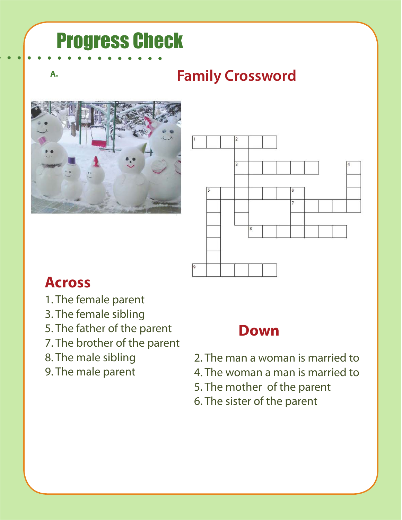# Progress Check

Ī

# **A. Family Crossword**





# **Across**

- 1. The female parent
- 3. The female sibling
- 5. The father of the parent
- 7. The brother of the parent
- 8. The male sibling
- 9. The male parent

# **Down**

- 2. The man a woman is married to
- 4. The woman a man is married to
- 5. The mother of the parent
- 6. The sister of the parent